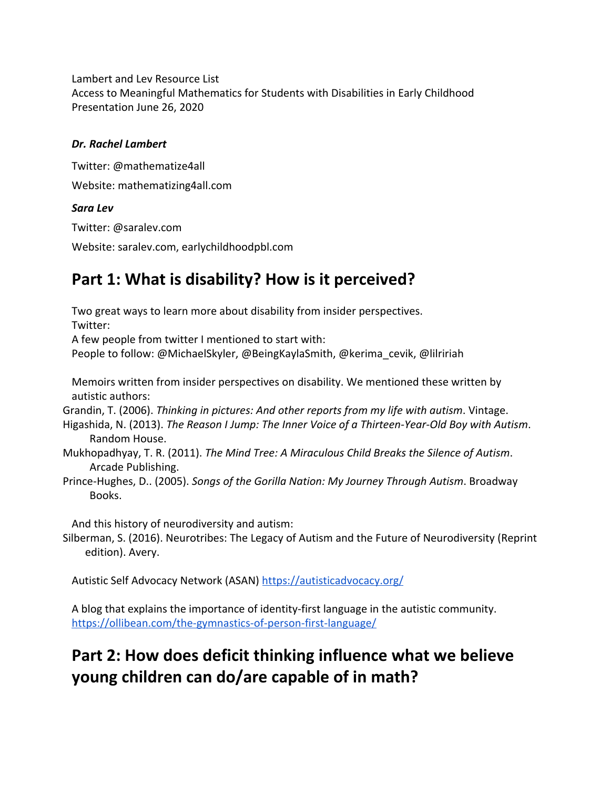Lambert and Lev Resource List Access to Meaningful Mathematics for Students with Disabilities in Early Childhood Presentation June 26, 2020

### *Dr. Rachel Lambert*

Twitter: @mathematize4all Website: [mathematizing4all.com](https://mathematizing4all.com)

### *Sara Lev*

Twitter: @[saralev.com](https://saralev.com)

Website: [saralev.com,](https://saralev.com) [earlychildhoodpbl.com](https://earlychildhoodpbl.com)

### **Part 1: What is disability? How is it perceived?**

Two great ways to learn more about disability from insider perspectives.

Twitter:

A few people from twitter I mentioned to start with:

People to follow: @MichaelSkyler, @BeingKaylaSmith, @kerima\_cevik, @lilririah

Memoirs written from insider perspectives on disability. We mentioned these written by autistic authors:

Grandin, T. (2006). *Thinking in pictures: And other reports from my life with autism*. Vintage.

- Higashida, N. (2013). *The Reason I Jump: The Inner Voice of a Thirteen-Year-Old Boy with Autism*. Random House.
- Mukhopadhyay, T. R. (2011). *The Mind Tree: A Miraculous Child Breaks the Silence of Autism*. Arcade Publishing.
- Prince-Hughes, D.. (2005). *Songs of the Gorilla Nation: My Journey Through Autism*. Broadway Books.

And this history of neurodiversity and autism:

Silberman, S. (2016). Neurotribes: The Legacy of Autism and the Future of Neurodiversity (Reprint edition). Avery.

Autistic Self Advocacy Network (ASAN) <https://autisticadvocacy.org/>

A blog that explains the importance of identity-first language in the autistic community. <https://ollibean.com/the-gymnastics-of-person-first-language/>

# **Part 2: How does deficit thinking influence what we believe young children can do/are capable of in math?**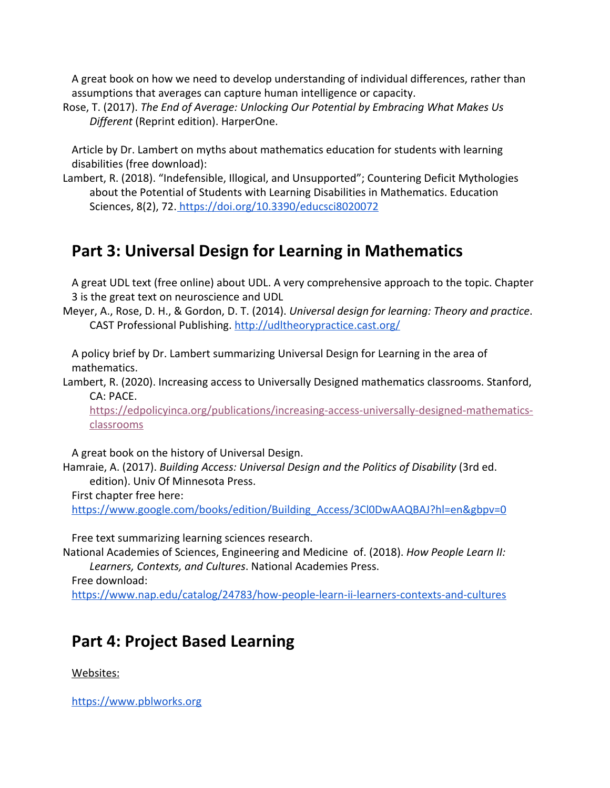A great book on how we need to develop understanding of individual differences, rather than assumptions that averages can capture human intelligence or capacity.

Rose, T. (2017). *The End of Average: Unlocking Our Potential by Embracing What Makes Us Different* (Reprint edition). HarperOne.

Article by Dr. Lambert on myths about mathematics education for students with learning disabilities (free download):

Lambert, R. (2018). "Indefensible, Illogical, and Unsupported"; Countering Deficit Mythologies about the Potential of Students with Learning Disabilities in Mathematics. Education Sciences, 8(2), 72.<https://doi.org/10.3390/educsci8020072>

## **Part 3: Universal Design for Learning in Mathematics**

A great UDL text (free online) about UDL. A very comprehensive approach to the topic. Chapter 3 is the great text on neuroscience and UDL

Meyer, A., Rose, D. H., & Gordon, D. T. (2014). *Universal design for learning: Theory and practice*. CAST Professional Publishing[.](http://udltheorypractice.cast.org/) <http://udltheorypractice.cast.org/>

A policy brief by Dr. Lambert summarizing Universal Design for Learning in the area of mathematics.

Lambert, R. (2020). Increasing access to Universally Designed mathematics classrooms. Stanford, CA: PACE.

[https://edpolicyinca.org/publications/increasing-access-universally-designed-mathematics](https://edpolicyinca.org/publications/increasing-access-universally-designed-mathematics-classrooms)[classrooms](https://edpolicyinca.org/publications/increasing-access-universally-designed-mathematics-classrooms)

A great book on the history of Universal Design.

Hamraie, A. (2017). *Building Access: Universal Design and the Politics of Disability* (3rd ed. edition). Univ Of Minnesota Press.

First chapter free here:

[https://www.google.com/books/edition/Building\\_Access/3Cl0DwAAQBAJ?hl=en&gbpv=0](https://www.google.com/books/edition/Building_Access/3Cl0DwAAQBAJ?hl=en&gbpv=0)

Free text summarizing learning sciences research.

National Academies of Sciences, Engineering and Medicine of. (2018). *How People Learn II: Learners, Contexts, and Cultures*. National Academies Press.

Free download: <https://www.nap.edu/catalog/24783/how-people-learn-ii-learners-contexts-and-cultures>

## **Part 4: Project Based Learning**

Websites:

[https://www.pblworks.org](https://www.pblworks.org/)